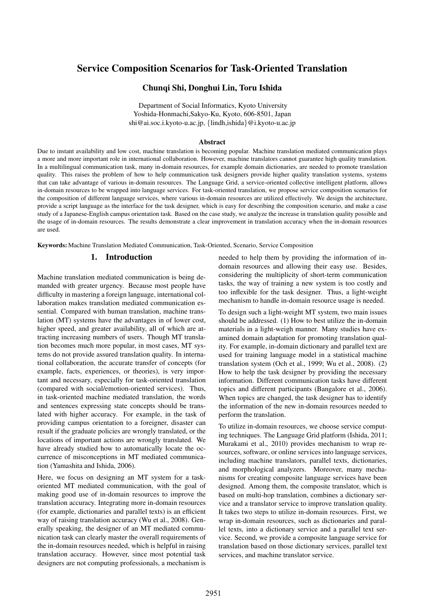# Service Composition Scenarios for Task-Oriented Translation

### Chunqi Shi, Donghui Lin, Toru Ishida

Department of Social Informatics, Kyoto University Yoshida-Honmachi,Sakyo-Ku, Kyoto, 606-8501, Japan shi@ai.soc.i.kyoto-u.ac.jp, {lindh,ishida}@i.kyoto-u.ac.jp

#### Abstract

Due to instant availability and low cost, machine translation is becoming popular. Machine translation mediated communication plays a more and more important role in international collaboration. However, machine translators cannot guarantee high quality translation. In a multilingual communication task, many in-domain resources, for example domain dictionaries, are needed to promote translation quality. This raises the problem of how to help communication task designers provide higher quality translation systems, systems that can take advantage of various in-domain resources. The Language Grid, a service-oriented collective intelligent platform, allows in-domain resources to be wrapped into language services. For task-oriented translation, we propose service composition scenarios for the composition of different language services, where various in-domain resources are utilized effectively. We design the architecture, provide a script language as the interface for the task designer, which is easy for describing the composition scenario, and make a case study of a Japanese-English campus orientation task. Based on the case study, we analyze the increase in translation quality possible and the usage of in-domain resources. The results demonstrate a clear improvement in translation accuracy when the in-domain resources are used.

Keywords: Machine Translation Mediated Communication, Task-Oriented, Scenario, Service Composition

### 1. Introduction

Machine translation mediated communication is being demanded with greater urgency. Because most people have difficulty in mastering a foreign language, international collaboration makes translation mediated communication essential. Compared with human translation, machine translation (MT) systems have the advantages in of lower cost, higher speed, and greater availability, all of which are attracting increasing numbers of users. Though MT translation becomes much more popular, in most cases, MT systems do not provide assured translation quality. In international collaboration, the accurate transfer of concepts (for example, facts, experiences, or theories), is very important and necessary, especially for task-oriented translation (compared with social/emotion-oriented services). Thus, in task-oriented machine mediated translation, the words and sentences expressing state concepts should be translated with higher accuracy. For example, in the task of providing campus orientation to a foreigner, disaster can result if the graduate policies are wrongly translated, or the locations of important actions are wrongly translated. We have already studied how to automatically locate the occurrence of misconceptions in MT mediated communication (Yamashita and Ishida, 2006).

Here, we focus on designing an MT system for a taskoriented MT mediated communication, with the goal of making good use of in-domain resources to improve the translation accuracy. Integrating more in-domain resources (for example, dictionaries and parallel texts) is an efficient way of raising translation accuracy (Wu et al., 2008). Generally speaking, the designer of an MT mediated communication task can clearly master the overall requirements of the in-domain resources needed, which is helpful in raising translation accuracy. However, since most potential task designers are not computing professionals, a mechanism is

needed to help them by providing the information of indomain resources and allowing their easy use. Besides, considering the multiplicity of short-term communication tasks, the way of training a new system is too costly and too inflexible for the task designer. Thus, a light-weight mechanism to handle in-domain resource usage is needed.

To design such a light-weight MT system, two main issues should be addressed. (1) How to best utilize the in-domain materials in a light-weigh manner. Many studies have examined domain adaptation for promoting translation quality. For example, in-domain dictionary and parallel text are used for training language model in a statistical machine translation system (Och et al., 1999; Wu et al., 2008). (2) How to help the task designer by providing the necessary information. Different communication tasks have different topics and different participants (Bangalore et al., 2006). When topics are changed, the task designer has to identify the information of the new in-domain resources needed to perform the translation.

To utilize in-domain resources, we choose service computing techniques. The Language Grid platform (Ishida, 2011; Murakami et al., 2010) provides mechanism to wrap resources, software, or online services into language services, including machine translators, parallel texts, dictionaries, and morphological analyzers. Moreover, many mechanisms for creating composite language services have been designed. Among them, the composite translator, which is based on multi-hop translation, combines a dictionary service and a translator service to improve translation quality. It takes two steps to utilize in-domain resources. First, we wrap in-domain resources, such as dictionaries and parallel texts, into a dictionary service and a parallel text service. Second, we provide a composite language service for translation based on those dictionary services, parallel text services, and machine translator service.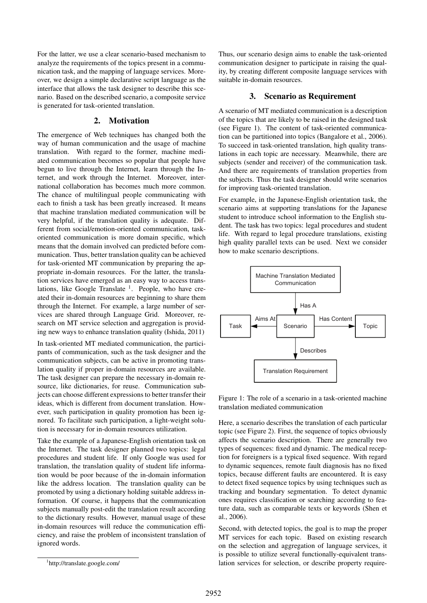For the latter, we use a clear scenario-based mechanism to analyze the requirements of the topics present in a communication task, and the mapping of language services. Moreover, we design a simple declarative script language as the interface that allows the task designer to describe this scenario. Based on the described scenario, a composite service is generated for task-oriented translation.

# 2. Motivation

The emergence of Web techniques has changed both the way of human communication and the usage of machine translation. With regard to the former, machine mediated communication becomes so popular that people have begun to live through the Internet, learn through the Internet, and work through the Internet. Moreover, international collaboration has becomes much more common. The chance of multilingual people communicating with each to finish a task has been greatly increased. It means that machine translation mediated communication will be very helpful, if the translation quality is adequate. Different from social/emotion-oriented communication, taskoriented communication is more domain specific, which means that the domain involved can predicted before communication. Thus, better translation quality can be achieved for task-oriented MT communication by preparing the appropriate in-domain resources. For the latter, the translation services have emerged as an easy way to access translations, like Google Translate <sup>1</sup>. People, who have created their in-domain resources are beginning to share them through the Internet. For example, a large number of services are shared through Language Grid. Moreover, research on MT service selection and aggregation is providing new ways to enhance translation quality (Ishida, 2011)

In task-oriented MT mediated communication, the participants of communication, such as the task designer and the communication subjects, can be active in promoting translation quality if proper in-domain resources are available. The task designer can prepare the necessary in-domain resource, like dictionaries, for reuse. Communication subjects can choose different expressions to better transfer their ideas, which is different from document translation. However, such participation in quality promotion has been ignored. To facilitate such participation, a light-weight solution is necessary for in-domain resources utilization.

Take the example of a Japanese-English orientation task on the Internet. The task designer planned two topics: legal procedures and student life. If only Google was used for translation, the translation quality of student life information would be poor because of the in-domain information like the address location. The translation quality can be promoted by using a dictionary holding suitable address information. Of course, it happens that the communication subjects manually post-edit the translation result according to the dictionary results. However, manual usage of these in-domain resources will reduce the communication efficiency, and raise the problem of inconsistent translation of ignored words.

Thus, our scenario design aims to enable the task-oriented communication designer to participate in raising the quality, by creating different composite language services with suitable in-domain resources.

#### 3. Scenario as Requirement

A scenario of MT mediated communication is a description of the topics that are likely to be raised in the designed task (see Figure 1). The content of task-oriented communication can be partitioned into topics (Bangalore et al., 2006). To succeed in task-oriented translation, high quality translations in each topic are necessary. Meanwhile, there are subjects (sender and receiver) of the communication task. And there are requirements of translation properties from the subjects. Thus the task designer should write scenarios for improving task-oriented translation.

For example, in the Japanese-English orientation task, the scenario aims at supporting translations for the Japanese student to introduce school information to the English student. The task has two topics: legal procedures and student life. With regard to legal procedure translations, existing high quality parallel texts can be used. Next we consider how to make scenario descriptions.



Figure 1: The role of a scenario in a task-oriented machine translation mediated communication

Here, a scenario describes the translation of each particular topic (see Figure 2). First, the sequence of topics obviously affects the scenario description. There are generally two types of sequences: fixed and dynamic. The medical reception for foreigners is a typical fixed sequence. With regard to dynamic sequences, remote fault diagnosis has no fixed topics, because different faults are encountered. It is easy to detect fixed sequence topics by using techniques such as tracking and boundary segmentation. To detect dynamic ones requires classification or searching according to feature data, such as comparable texts or keywords (Shen et al., 2006).

Second, with detected topics, the goal is to map the proper MT services for each topic. Based on existing research on the selection and aggregation of language services, it is possible to utilize several functionally-equivalent translation services for selection, or describe property require-

<sup>1</sup> http://translate.google.com/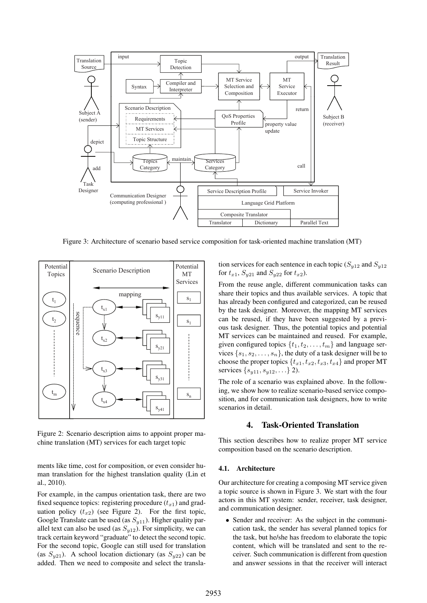

Figure 3: Architecture of scenario based service composition for task-oriented machine translation (MT)



Figure 2: Scenario description aims to appoint proper machine translation (MT) services for each target topic

ments like time, cost for composition, or even consider human translation for the highest translation quality (Lin et al., 2010).

For example, in the campus orientation task, there are two fixed sequence topics: registering procedure  $(t_{x1})$  and graduation policy  $(t_{x2})$  (see Figure 2). For the first topic, Google Translate can be used (as  $S_{y11}$ ). Higher quality parallel text can also be used (as  $S_{v12}$ ). For simplicity, we can track certain keyword "graduate" to detect the second topic. For the second topic, Google can still used for translation (as  $S_{y21}$ ). A school location dictionary (as  $S_{y22}$ ) can be added. Then we need to composite and select the translation services for each sentence in each topic ( $S_{v12}$  and  $S_{v12}$ ) for  $t_{x1}$ ,  $S_{y21}$  and  $S_{y22}$  for  $t_{x2}$ ).

From the reuse angle, different communication tasks can share their topics and thus available services. A topic that has already been configured and categorized, can be reused by the task designer. Moreover, the mapping MT services can be reused, if they have been suggested by a previous task designer. Thus, the potential topics and potential MT services can be maintained and reused. For example, given configured topics  $\{t_1, t_2, \ldots, t_m\}$  and language services  $\{s_1, s_2, \ldots, s_n\}$ , the duty of a task designer will be to choose the proper topics  $\{t_{x1}, t_{x2}, t_{x3}, t_{x4}\}$  and proper MT services  $\{s_{y11}, s_{y12}, \ldots\}$  2).

The role of a scenario was explained above. In the following, we show how to realize scenario-based service composition, and for communication task designers, how to write scenarios in detail.

#### 4. Task-Oriented Translation

This section describes how to realize proper MT service composition based on the scenario description.

#### 4.1. Architecture

Our architecture for creating a composing MT service given a topic source is shown in Figure 3. We start with the four actors in this MT system: sender, receiver, task designer, and communication designer.

• Sender and receiver: As the subject in the communication task, the sender has several planned topics for the task, but he/she has freedom to elaborate the topic content, which will be translated and sent to the receiver. Such communication is different from question and answer sessions in that the receiver will interact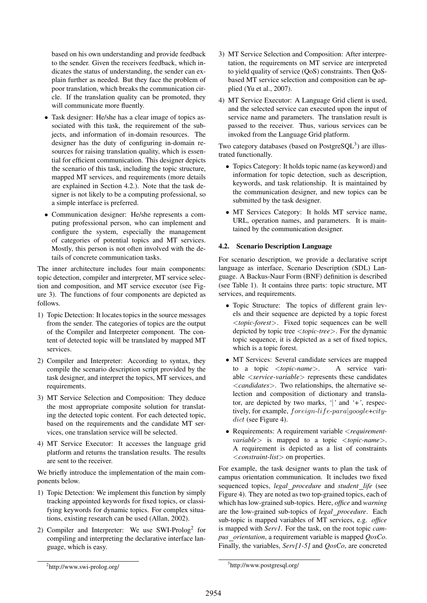based on his own understanding and provide feedback to the sender. Given the receivers feedback, which indicates the status of understanding, the sender can explain further as needed. But they face the problem of poor translation, which breaks the communication circle. If the translation quality can be promoted, they will communicate more fluently.

- Task designer: He/she has a clear image of topics associated with this task, the requirement of the subjects, and information of in-domain resources. The designer has the duty of configuring in-domain resources for raising translation quality, which is essential for efficient communication. This designer depicts the scenario of this task, including the topic structure, mapped MT services, and requirements (more details are explained in Section 4.2.). Note that the task designer is not likely to be a computing professional, so a simple interface is preferred.
- Communication designer: He/she represents a computing professional person, who can implement and configure the system, especially the management of categories of potential topics and MT services. Mostly, this person is not often involved with the details of concrete communication tasks.

The inner architecture includes four main components: topic detection, compiler and interpreter, MT service selection and composition, and MT service executor (see Figure 3). The functions of four components are depicted as follows.

- 1) Topic Detection: It locates topics in the source messages from the sender. The categories of topics are the output of the Compiler and Interpreter component. The content of detected topic will be translated by mapped MT services.
- 2) Compiler and Interpreter: According to syntax, they compile the scenario description script provided by the task designer, and interpret the topics, MT services, and requirements.
- 3) MT Service Selection and Composition: They deduce the most appropriate composite solution for translating the detected topic content. For each detected topic, based on the requirements and the candidate MT services, one translation service will be selected.
- 4) MT Service Executor: It accesses the language grid platform and returns the translation results. The results are sent to the receiver.

We briefly introduce the implementation of the main components below.

- 1) Topic Detection: We implement this function by simply tracking appointed keywords for fixed topics, or classifying keywords for dynamic topics. For complex situations, existing research can be used (Allan, 2002).
- 2) Compiler and Interpreter: We use SWI-Prolog<sup>2</sup> for compiling and interpreting the declarative interface language, which is easy.
	- 2 http://www.swi-prolog.org/
- 3) MT Service Selection and Composition: After interpretation, the requirements on MT service are interpreted to yield quality of service (QoS) constraints. Then QoSbased MT service selection and composition can be applied (Yu et al., 2007).
- 4) MT Service Executor: A Language Grid client is used, and the selected service can executed upon the input of service name and parameters. The translation result is passed to the receiver. Thus, various services can be invoked from the Language Grid platform.

Two category databases (based on Postgre $SQL^3$ ) are illustrated functionally.

- Topics Category: It holds topic name (as keyword) and information for topic detection, such as description, keywords, and task relationship. It is maintained by the communication designer, and new topics can be submitted by the task designer.
- MT Services Category: It holds MT service name, URL, operation names, and parameters. It is maintained by the communication designer.

### 4.2. Scenario Description Language

For scenario description, we provide a declarative script language as interface, Scenario Description (SDL) Language. A Backus-Naur Form (BNF) definition is described (see Table 1). It contains three parts: topic structure, MT services, and requirements.

- Topic Structure: The topics of different grain levels and their sequence are depicted by a topic forest <*topic-forest*>. Fixed topic sequences can be well depicted by topic tree <*topic-tree*>. For the dynamic topic sequence, it is depicted as a set of fixed topics, which is a topic forest.
- MT Services: Several candidate services are mapped to a topic <*topic-name*>. A service variable <*service-variable*> represents these candidates <*candidates*>. Two relationships, the alternative selection and composition of dictionary and translator, are depicted by two marks, *'*|*'* and *'+'*, respectively, for example, foreign-life-para|google+citydict (see Figure 4).
- Requirements: A requirement variable <*requirementvariable*> is mapped to a topic <*topic-name*>. A requirement is depicted as a list of constraints <*constraint-list*> on properties.

For example, the task designer wants to plan the task of campus orientation communication. It includes two fixed sequenced topics, *legal procedure* and *student life* (see Figure 4). They are noted as two top-grained topics, each of which has low-grained sub-topics. Here, *office* and *warning* are the low-grained sub-topics of *legal procedure*. Each sub-topic is mapped variables of MT services, e.g. *office* is mapped with *Serv1*. For the task, on the root topic *campus orientation*, a requirement variable is mapped *QosCo*. Finally, the variables, *Serv[1-5]* and *QosCo*, are concreted

<sup>3</sup> http://www.postgresql.org/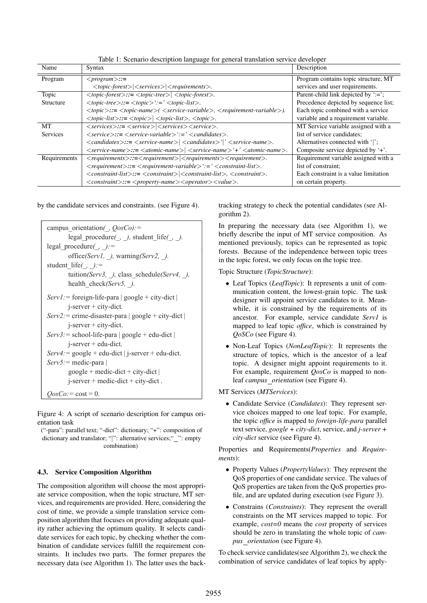| Name         | Syntax                                                                                                                                                                                                                                                                                                                                                                                                                                                                                                                                                                                                 | Description                           |  |
|--------------|--------------------------------------------------------------------------------------------------------------------------------------------------------------------------------------------------------------------------------------------------------------------------------------------------------------------------------------------------------------------------------------------------------------------------------------------------------------------------------------------------------------------------------------------------------------------------------------------------------|---------------------------------------|--|
| Program      | $<$ <i>program</i> $>$ ::=                                                                                                                                                                                                                                                                                                                                                                                                                                                                                                                                                                             | Program contains topic structure, MT  |  |
|              | $\langle topic\text{-}forest\rangle \langle services\rangle \langle requirements\rangle.$                                                                                                                                                                                                                                                                                                                                                                                                                                                                                                              | services and user requirements.       |  |
| Topic        | $ltopic-fonest$ : = $ltopic-tree$ $ltopic-fonest$ .                                                                                                                                                                                                                                                                                                                                                                                                                                                                                                                                                    | Parent-child link depicted by ':=';   |  |
| Structure    | $ltopic-tree\rangle ::= $                                                                                                                                                                                                                                                                                                                                                                                                                                                                                                                                                                              | Precedence depicted by sequence list; |  |
|              | $< topic \ge :=  ( \le service \cdot variable >, \le requirement \cdot variable >).$                                                                                                                                                                                                                                                                                                                                                                                                                                                                                                                   | Each topic combined with a service    |  |
|              | $lt{topic-list}$ : = $lt{topic}$ $lt{topic-list}$ , $lt{topic}$ .                                                                                                                                                                                                                                                                                                                                                                                                                                                                                                                                      | variable and a requirement variable.  |  |
| MT           | $\langle \textit{s} \rangle := \langle \textit{s} \rangle = \langle \textit{s} \rangle = \langle \textit{s} \rangle = \langle \textit{s} \rangle = \langle \textit{s} \rangle = \langle \textit{s} \rangle = \langle \textit{s} \rangle = \langle \textit{s} \rangle = \langle \textit{s} \rangle = \langle \textit{s} \rangle = \langle \textit{s} \rangle = \langle \textit{s} \rangle = \langle \textit{s} \rangle = \langle \textit{s} \rangle = \langle \textit{s} \rangle = \langle \textit{s} \rangle = \langle \textit{s} \rangle = \langle \textit{s} \rangle = \langle \textit{s} \rangle =$ | MT Service variable assigned with a   |  |
| Services     | $\langle \textit{service} \rangle ::= \langle \textit{service-variable} \rangle := \langle \textit{candidate} \rangle.$                                                                                                                                                                                                                                                                                                                                                                                                                                                                                | list of service candidates;           |  |
|              | $\langle candidates \rangle ::= \langle service\text{-}name \rangle   \langle candidate \rangle \rangle' \langle service\text{-}name \rangle.$                                                                                                                                                                                                                                                                                                                                                                                                                                                         | Alternatives connected with ' ';      |  |
|              | $\langle$ service-name $\rangle$ ::= $\langle$ atomic-name $\rangle$   $\langle$ service-name $\rangle$ '+' $\langle$ atomic-name $\rangle$ .                                                                                                                                                                                                                                                                                                                                                                                                                                                          | Composite service depicted by '+'.    |  |
| Requirements | $\langle$ requirements $\rangle$ ::= $\langle$ requirement $\rangle$   $\langle$ requirements $\rangle$ $\langle$ requirement $\rangle$ .                                                                                                                                                                                                                                                                                                                                                                                                                                                              | Requirement variable assigned with a  |  |
|              | $\langle \textit{regular} \rangle ::= \langle \textit{requirement-variable} \rangle ::= \langle \textit{constant-list} \rangle.$                                                                                                                                                                                                                                                                                                                                                                                                                                                                       | list of constraint:                   |  |
|              | $\langle constant\text{-}list\rangle ::= \langle constraint\rangle   \langle constraint\text{-}list\rangle, \langle constraint\rangle.$                                                                                                                                                                                                                                                                                                                                                                                                                                                                | Each constraint is a value limitation |  |
|              | $\langle constant \rangle ::= \langle property\text{-}name \rangle \langle operator \rangle \langle value \rangle.$                                                                                                                                                                                                                                                                                                                                                                                                                                                                                    | on certain property.                  |  |

Table 1: Scenario description language for general translation service developer

by the candidate services and constraints. (see Figure 4).



Figure 4: A script of scenario description for campus orientation task

("-para": parallel text; "-dict": dictionary; "+": composition of dictionary and translator; "|": alternative services;"\_": empty combination)

### 4.3. Service Composition Algorithm

The composition algorithm will choose the most appropriate service composition, when the topic structure, MT services, and requirements are provided. Here, considering the cost of time, we provide a simple translation service composition algorithm that focuses on providing adequate quality rather achieving the optimum quality. It selects candidate services for each topic, by checking whether the combination of candidate services fulfill the requirement constraints. It includes two parts. The former prepares the necessary data (see Algorithm 1). The latter uses the backtracking strategy to check the potential candidates (see Algorithm 2).

In preparing the necessary data (see Algorithm 1), we briefly describe the input of MT service composition. As mentioned previously, topics can be represented as topic forests. Because of the independence between topic trees in the topic forest, we only focus on the topic tree.

Topic Structure (*TopicStructure*):

- Leaf Topics (*LeafTopic*): It represents a unit of communication content, the lowest-grain topic. The task designer will appoint service candidates to it. Meanwhile, it is constrained by the requirements of its ancestor. For example, service candidate *Serv1* is mapped to leaf topic *office*, which is constrained by *QoSCo* (see Figure 4).
- Non-Leaf Topics (*NonLeafTopic*): It represents the structure of topics, which is the ancestor of a leaf topic. A designer might appoint requirements to it. For example, requirement *QosCo* is mapped to nonleaf *campus orientation* (see Figure 4).

MT Services (*MTServices*):

• Candidate Service (*Candidates*): They represent service choices mapped to one leaf topic. For example, the topic *office* is mapped to *foreign-life-para* parallel text service, *google + city-dict*, service, and *j-server + city-dict* service (see Figure 4).

Properties and Requirements(*Properties* and *Requirements*):

- Property Values (*PropertyValues*): They represent the QoS properties of one candidate service. The values of QoS properties are taken from the QoS properties profile, and are updated during execution (see Figure 3).
- Constrains (*Constraints*): They represent the overall constraints on the MT services mapped to topic. For example, *cost=0* means the *cost* property of services should be zero in translating the whole topic of *campus orientation* (see Figure 4).

To check service candidates(see Algorithm 2), we check the combination of service candidates of leaf topics by apply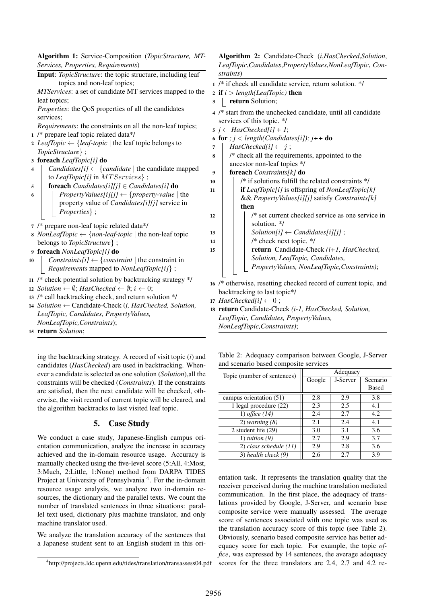Algorithm 1: Service-Composition (*TopicStructure, MT-Services, Properties, Requirements*)

Input: *TopicStructure*: the topic structure, including leaf topics and non-leaf topics;

*MTServices*: a set of candidate MT services mapped to the leaf topics;

*Properties*: the QoS properties of all the candidates services;

- *Requirements*: the constraints on all the non-leaf topics; 1 /\* prepare leaf topic related data\*/
- 2 *LeafTopic*  $\leftarrow$  {*leaf-topic* | the leaf topic belongs to *TopicStructure*} ;
- <sup>3</sup> foreach *LeafTopic[i]* do
- <sup>4</sup> *Candidates[i]* ← {*candidate* | the candidate mapped to *LeafTopic[i]* in  $MTServices$  ;
- <sup>5</sup> foreach *Candidates[i][j]* ∈ *Candidates[i]* do
- 6 **PropertyValues**[i][j]  $\leftarrow$  {*property-value* | the property value of *Candidates[i][j]* service in *Properties*} ;
- 7 /\* prepare non-leaf topic related data\*/
- 8 *NonLeafTopic*  $\leftarrow$  {*non-leaf-topic* | the non-leaf topic belongs to *TopicStructure*} ;
- <sup>9</sup> foreach *NonLeafTopic[i]* do
- 10 *Constraints[i]*  $\leftarrow$  {*constraint* | the constraint in *Requirements* mapped to *NonLeafTopic[i]*} ;
- <sup>11</sup> /\* check potential solution by backtracking strategy \*/
- 12 *Solution*  $\leftarrow \emptyset$ ; *HasChecked*  $\leftarrow \emptyset$ ; *i*  $\leftarrow 0$ ;
- <sup>13</sup> /\* call backtracking check, and return solution \*/
- <sup>14</sup> *Solution* ← Candidate-Check (*i, HasChecked, Solution, LeafTopic, Candidates, PropertyValues, NonLeafTopic,Constraints*);
- <sup>15</sup> return *Solution*;

ing the backtracking strategy. A record of visit topic (*i*) and candidates (*HasChecked*) are used in backtracking. Whenever a candidate is selected as one solution (*Solution*),all the constraints will be checked (*Constraints*). If the constraints are satisfied, then the next candidate will be checked, otherwise, the visit record of current topic will be cleared, and the algorithm backtracks to last visited leaf topic.

#### 5. Case Study

We conduct a case study, Japanese-English campus orientation communication, analyze the increase in accuracy achieved and the in-domain resource usage. Accuracy is manually checked using the five-level score (5:All, 4:Most, 3:Much, 2:Little, 1:None) method from DARPA TIDES Project at University of Pennsylvania<sup>4</sup>. For the in-domain resource usage analysis, we analyze two in-domain resources, the dictionary and the parallel texts. We count the number of translated sentences in three situations: parallel text used, dictionary plus machine translator, and only machine translator used.

We analyze the translation accuracy of the sentences that a Japanese student sent to an English student in this ori-

4 http://projects.ldc.upenn.edu/tides/translation/transassess04.pdf

Algorithm 2: Candidate-Check (*i*,*HasChecked*,*Solution*, *LeafTopic*,*Candidates*,*PropertyValues*,*NonLeafTopic*, *Constraints*)

- 1 /\* if check all candidate service, return solution. \*/
- <sup>2</sup> if *i* > *length(LeafTopic)* then
- 3 **return** Solution;
- 4 /\* start from the unchecked candidate, until all candidate services of this topic. \*/
- $5 \text{ } j \leftarrow HasChecked[i] + 1;$

6 for  $; j <$  *length*(*Candidates[i]*);  $j++$  do

- 7 *HasChecked[i]*  $\leftarrow$  *j*;
- 8 / \* check all the requirements, appointed to the ancestor non-leaf topics \*/
- <sup>9</sup> foreach *Constraints[k]* do

| 10 | /* if solutions fulfill the related constraints */             |  |  |  |
|----|----------------------------------------------------------------|--|--|--|
| 11 | <b>if</b> LeafTopic[i] is offspring of NonLeafTopic[k]         |  |  |  |
|    | && PropertyValues[i][j] satisfy Constraints[k]                 |  |  |  |
|    | then                                                           |  |  |  |
| 12 | /* set current checked service as one service in               |  |  |  |
|    | solution. $*$ /                                                |  |  |  |
| 13 | $Solution[i] \leftarrow$ <i>Candidates[i][j]</i> ;             |  |  |  |
| 14 | /* check next topic. */                                        |  |  |  |
| 15 | <b>return</b> Candidate-Check $(i+1, HasChecked,$              |  |  |  |
|    | Solution, LeafTopic, Candidates,                               |  |  |  |
|    | PropertyValues, NonLeafTopic, Constraints);                    |  |  |  |
|    |                                                                |  |  |  |
|    | 16. If otherwise resetting checked record of current tonic and |  |  |  |

- \* otherwise, resetting checked record of current topic, and backtracking to last topic\*/
- 17  $HasChecked[i] \leftarrow 0$ ;
- <sup>18</sup> return Candidate-Check *(i-1, HasChecked, Solution, LeafTopic, Candidates, PropertyValues, NonLeafTopic,Constraints)*;

Table 2: Adequacy comparison between Google, J-Server and scenario based composite services

| Topic (number of sentences) | Adequacy |          |          |  |
|-----------------------------|----------|----------|----------|--|
|                             | Google   | J-Server | Scenario |  |
|                             |          |          | Based    |  |
| campus orientation (51)     | 2.8      | 2.9      | 3.8      |  |
| 1 legal procedure (22)      | 2.3      | 2.5      | 4.1      |  |
| 1) office $(14)$            | 2.4      | 2.7      | 4.2      |  |
| $2)$ warning $(8)$          | 2.1      | 2.4      | 4.1      |  |
| 2 student life (29)         | 3.0      | 3.1      | 3.6      |  |
| 1) tuition $(9)$            | 2.7      | 2.9      | 3.7      |  |
| $2)$ class schedule $(11)$  | 2.9      | 2.8      | 3.6      |  |
| $3)$ health check $(9)$     | 2.6      | 2.7      | 3.9      |  |

entation task. It represents the translation quality that the receiver perceived during the machine translation mediated communication. In the first place, the adequacy of translations provided by Google, J-Server, and scenario base composite service were manually assessed. The average score of sentences associated with one topic was used as the translation accuracy score of this topic (see Table 2). Obviously, scenario based composite service has better adequacy score for each topic. For example, the topic *office*, was expressed by 14 sentences, the average adequacy scores for the three translators are 2.4, 2.7 and 4.2 re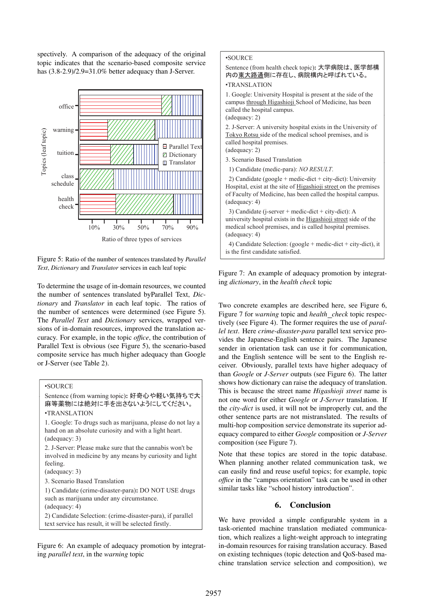spectively. A comparison of the adequacy of the original topic indicates that the scenario-based composite service has  $(3.8-2.9)/2.9=31.0\%$  better adequacy than J-Server.



Figure 5: Ratio of the number of sentences translated by *Parallel Text*, *Dictionary* and *Translator* services in each leaf topic

To determine the usage of in-domain resources, we counted the number of sentences translated byParallel Text, *Dictionary* and *Translator* in each leaf topic. The ratios of the number of sentences were determined (see Figure 5). The *Parallel Text* and *Dictionary* services, wrapped versions of in-domain resources, improved the translation accuracy. For example, in the topic *office*, the contribution of Parallel Text is obvious (see Figure 5), the scenario-based composite service has much higher adequacy than Google or J-Server (see Table 2).



Figure 6: An example of adequacy promotion by integrating *parallel text*, in the *warning* topic

#### •SOURCE

Sentence (from health check topic): 大学病院は、医学部構 内の東大路通側に存在し、病院構内と呼ばれている。

# •TRANSLATION

1. Google: University Hospital is present at the side of the campus through Higashioji School of Medicine, has been called the hospital campus.  $($  a dequacy: 2)

2. J-Server: A university hospital exists in the University of Tokyo Rotsu side of the medical school premises, and is called hospital premises. (adequacy: 2)

- 3. Scenario Based Translation
- 1) Candidate (medic-para): *NO RESULT*.

2) Candidate (google + medic-dict + city-dict): University Hospital, exist at the site of Higashioji street on the premises of Faculty of Medicine, has been called the hospital campus. (adequacy: 4)

3) Candidate (j-server + medic-dict + city-dict): A university hospital exists in the Higashioji street side of the medical school premises, and is called hospital premises. (adequacy: 4)

4) Candidate Selection: (google + medic-dict + city-dict), it is the first candidate satisfied.

Figure 7: An example of adequacy promotion by integrating *dictionary*, in the *health check* topic

Two concrete examples are described here, see Figure 6, Figure 7 for *warning* topic and *health check* topic respectively (see Figure 4). The former requires the use of *parallel text*. Here *crime-disaster-para* parallel text service provides the Japanese-English sentence pairs. The Japanese sender in orientation task can use it for communication, and the English sentence will be sent to the English receiver. Obviously, parallel texts have higher adequacy of than *Google* or *J-Server* outputs (see Figure 6). The latter shows how dictionary can raise the adequacy of translation. This is because the street name *Higashioji street* name is not one word for either *Google* or *J-Server* translation. If the *city-dict* is used, it will not be improperly cut, and the other sentence parts are not mistranslated. The results of multi-hop composition service demonstrate its superior adequacy compared to either *Google* composition or *J-Server* composition (see Figure 7).

Note that these topics are stored in the topic database. When planning another related communication task, we can easily find and reuse useful topics; for example, topic *office* in the "campus orientation" task can be used in other similar tasks like "school history introduction".

### 6. Conclusion

We have provided a simple configurable system in a task-oriented machine translation mediated communication, which realizes a light-weight approach to integrating in-domain resources for raising translation accuracy. Based on existing techniques (topic detection and QoS-based machine translation service selection and composition), we